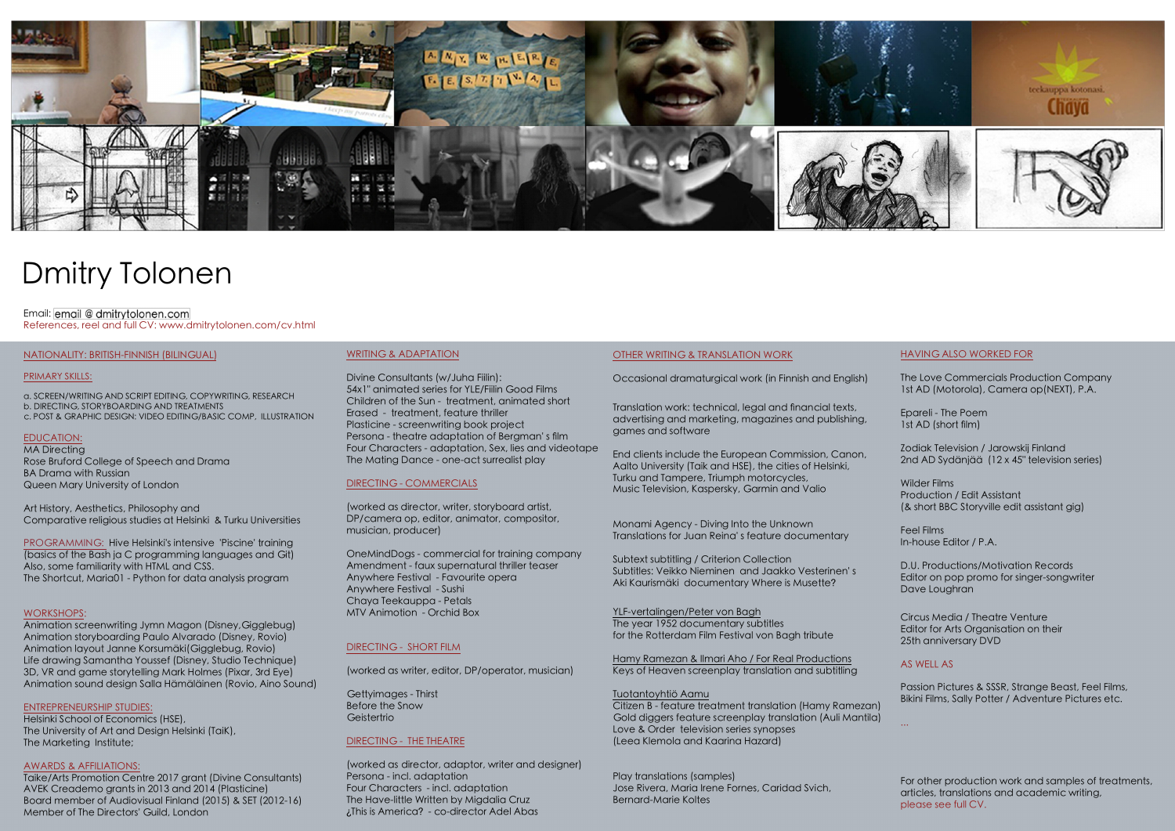

# Dmitry Tolonen

### Email: email @ dmitrytolonen.com References, reel and full CV: www.dmitrytolonen.com/cv.html

#### NATIONALITY: BRITISH-FINNISH (BILINGUAL)

#### PRIMARY SKILLS:

a. SCREEN/WRITING AND SCRIPT EDITING, COPYWRITING, RESEARCH b. DIRECTING, STORYBOARDING AND TREATMENTS c. POST & GRAPHIC DESIGN: VIDEO EDITING/BASIC COMP, ILLUSTRATION

## EDUCATION:

MA Directing Rose Bruford College of Speech and Drama BA Drama with Russian Queen Mary University of London

Art History, Aesthetics, Philosophy and Comparative religious studies at Helsinki & Turku Universities

PROGRAMMING: Hive Helsinki's intensive 'Piscine' training (basics of the Bash ja C programming languages and Git) Also, some familiarity with HTML and CSS. The Shortcut, Maria01 - Python for data analysis program

#### WORKSHOPS:

Animation screenwriting Jymn Magon (Disney,Gigglebug) Animation storyboarding Paulo Alvarado (Disney, Rovio) Animation layout Janne Korsumäki(Gigglebug, Rovio) Life drawing Samantha Youssef (Disney, Studio Technique) 3D, VR and game storytelling Mark Holmes (Pixar, 3rd Eye) Animation sound design Salla Hämäläinen (Rovio, Aino Sound)

#### ENTREPRENEURSHIP STUDIES:

Helsinki School of Economics (HSE), The University of Art and Design Helsinki (TaiK), The Marketing Institute;

#### AWARDS & AFFILIATIONS:

Taike/Arts Promotion Centre 2017 grant (Divine Consultants) AVEK Creademo grants in 2013 and 2014 (Plasticine) Board member of Audiovisual Finland (2015) & SET (2012-16) Member of The Directors' Guild, London

## WRITING & ADAPTATION

Divine Consultants (w/Juha Fiilin): 54x1" animated series for YLE/Fiilin Good Films Children of the Sun - treatment, animated short Erased - treatment, feature thriller Plasticine - screenwriting book project Persona - theatre adaptation of Bergman' s flm Four Characters - adaptation, Sex, lies and videotape The Mating Dance - one-act surrealist play

## DIRECTING - COMMERCIALS

(worked as director, writer, storyboard artist, DP/camera op, editor, animator, compositor, musician, producer)

OneMindDogs - commercial for training company Amendment - faux supernatural thriller teaser Anywhere Festival - Favourite opera Anywhere Festival - Sushi Chaya Teekauppa - Petals MTV Animotion - Orchid Box

## DIRECTING - SHORT FILM

(worked as writer, editor, DP/operator, musician)

Gettyimages - Thirst Before the Snow **Geistertrio** 

## DIRECTING - THE THEATRE

(worked as director, adaptor, writer and designer) Persona - incl. adaptation Four Characters - incl. adaptation The Have-little Written by Migdalia Cruz ¿This is America? - co-director Adel Abas

#### OTHER WRITING & TRANSLATION WORK

Occasional dramaturgical work (in Finnish and English)

Translation work: technical, legal and fnancial texts, advertising and marketing, magazines and publishing, games and software

End clients include the European Commission, Canon, Aalto University (Taik and HSE), the cities of Helsinki, Turku and Tampere, Triumph motorcycles, Music Television, Kaspersky, Garmin and Valio

Monami Agency - Diving Into the Unknown Translations for Juan Reina' s feature documentary

Subtext subtitling / Criterion Collection Subtitles: Veikko Nieminen and Jaakko Vesterinen' s Aki Kaurismäki documentary Where is Musette?

YLF-vertalingen/Peter von Bagh The year 1952 documentary subtitles for the Rotterdam Film Festival von Bagh tribute

Hamy Ramezan & Ilmari Aho / For Real Productions Keys of Heaven screenplay translation and subtitling

### Tuotantoyhtiö Aamu

Citizen B - feature treatment translation (Hamy Ramezan) Gold diggers feature screenplay translation (Auli Mantila) Love & Order television series synopses (Leea Klemola and Kaarina Hazard)

Play translations (samples) Jose Rivera, Maria Irene Fornes, Caridad Svich, Bernard-Marie Koltes

#### HAVING ALSO WORKED FOR

The Love Commercials Production Company 1st AD (Motorola), Camera op(NEXT), P.A.

Epareli - The Poem 1st AD (short film)

Zodiak Television / Jarowskij Finland 2nd AD Sydänjää (12 x 45" television series)

Wilder Films Production / Edit Assistant (& short BBC Storyville edit assistant gig)

Feel Films In-house Editor / P.A.

D.U. Productions/Motivation Records Editor on pop promo for singer-songwriter Dave Loughran

Circus Media / Theatre Venture Editor for Arts Organisation on their 25th anniversary DVD

## AS WELL AS

Passion Pictures & SSSR, Strange Beast, Feel Films, Bikini Films, Sally Potter / Adventure Pictures etc.

For other production work and samples of treatments, articles, translations and academic writing, please see full CV.